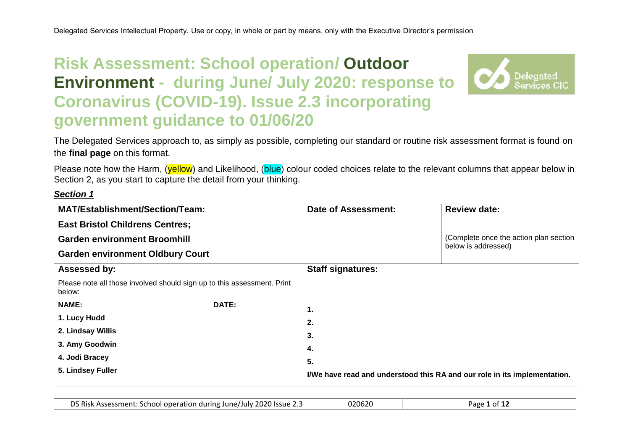# **Risk Assessment: School operation/ Outdoor Environment - during June/ July 2020: response to Coronavirus (COVID-19). Issue 2.3 incorporating government guidance to 01/06/20**



The Delegated Services approach to, as simply as possible, completing our standard or routine risk assessment format is found on the **final page** on this format.

Please note how the Harm, (vellow) and Likelihood, (blue) colour coded choices relate to the relevant columns that appear below in Section 2, as you start to capture the detail from your thinking.

# *Section 1*

| <b>MAT/Establishment/Section/Team:</b>                                            |       | <b>Date of Assessment:</b>                                                | <b>Review date:</b>                                           |  |
|-----------------------------------------------------------------------------------|-------|---------------------------------------------------------------------------|---------------------------------------------------------------|--|
| <b>East Bristol Childrens Centres;</b>                                            |       |                                                                           |                                                               |  |
| <b>Garden environment Broomhill</b>                                               |       |                                                                           | (Complete once the action plan section<br>below is addressed) |  |
| <b>Garden environment Oldbury Court</b>                                           |       |                                                                           |                                                               |  |
| <b>Assessed by:</b>                                                               |       | <b>Staff signatures:</b>                                                  |                                                               |  |
| Please note all those involved should sign up to this assessment. Print<br>below: |       |                                                                           |                                                               |  |
| <b>NAME:</b>                                                                      | DATE: | 1.                                                                        |                                                               |  |
| 1. Lucy Hudd                                                                      |       | 2.                                                                        |                                                               |  |
| 2. Lindsay Willis                                                                 |       | 3.                                                                        |                                                               |  |
| 3. Amy Goodwin                                                                    |       | 4.                                                                        |                                                               |  |
| 4. Jodi Bracey                                                                    |       | 5.                                                                        |                                                               |  |
| 5. Lindsey Fuller                                                                 |       | I/We have read and understood this RA and our role in its implementation. |                                                               |  |

| DS Risk Assessment: School operation during June/July 2020 Issue 2.3 | 020620 | Page<br>. of J |
|----------------------------------------------------------------------|--------|----------------|
|----------------------------------------------------------------------|--------|----------------|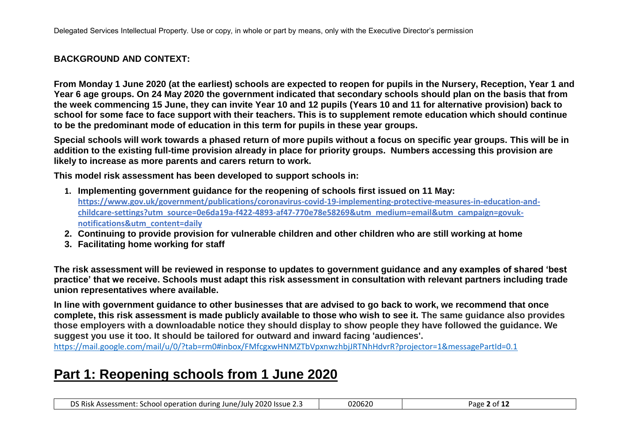# **BACKGROUND AND CONTEXT:**

**From Monday 1 June 2020 (at the earliest) schools are expected to reopen for pupils in the Nursery, Reception, Year 1 and Year 6 age groups. On 24 May 2020 the government indicated that secondary schools should plan on the basis that from the week commencing 15 June, they can invite Year 10 and 12 pupils (Years 10 and 11 for alternative provision) back to school for some face to face support with their teachers. This is to supplement remote education which should continue to be the predominant mode of education in this term for pupils in these year groups.** 

**Special schools will work towards a phased return of more pupils without a focus on specific year groups. This will be in addition to the existing full-time provision already in place for priority groups. Numbers accessing this provision are likely to increase as more parents and carers return to work.**

**This model risk assessment has been developed to support schools in:**

- **1. Implementing government guidance for the reopening of schools first issued on 11 May: [https://www.gov.uk/government/publications/coronavirus-covid-19-implementing-protective-measures-in-education-and](about:blank)[childcare-settings?utm\\_source=0e6da19a-f422-4893-af47-770e78e58269&utm\\_medium=email&utm\\_campaign=govuk](about:blank)[notifications&utm\\_content=daily](about:blank)**
- **2. Continuing to provide provision for vulnerable children and other children who are still working at home**
- **3. Facilitating home working for staff**

**The risk assessment will be reviewed in response to updates to government guidance and any examples of shared 'best practice' that we receive. Schools must adapt this risk assessment in consultation with relevant partners including trade union representatives where available.**

**In line with government guidance to other businesses that are advised to go back to work, we recommend that once complete, this risk assessment is made publicly available to those who wish to see it. The same guidance also provides those employers with a downloadable notice they should display to show people they have followed the guidance. We suggest you use it too. It should be tailored for outward and inward facing 'audiences'.** 

[https://mail.google.com/mail/u/0/?tab=rm0#inbox/FMfcgxwHNMZTbVpxnwzhbjJRTNhHdvrR?projector=1&messagePartId=0.1](about:blank#inbox/FMfcgxwHNMZTbVpxnwzhbjJRTNhHdvrR?projector=1&messagePartId=0.1)

# **Part 1: Reopening schools from 1 June 2020**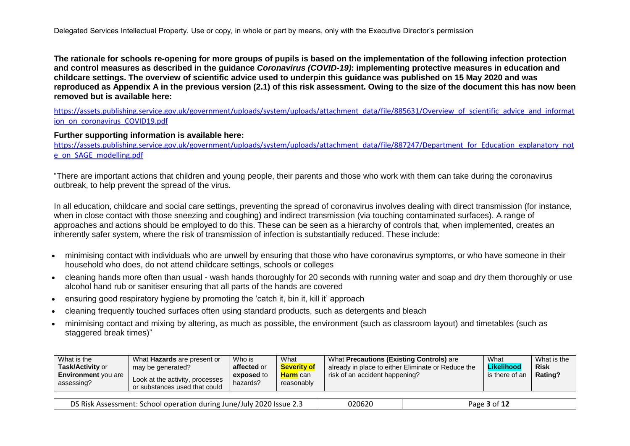**The rationale for schools re-opening for more groups of pupils is based on the implementation of the following infection protection and control measures as described in the guidance** *Coronavirus (COVID-19)***: implementing protective measures in education and childcare settings. The overview of scientific advice used to underpin this guidance was published on 15 May 2020 and was reproduced as Appendix A in the previous version (2.1) of this risk assessment. Owing to the size of the document this has now been removed but is available here:** 

[https://assets.publishing.service.gov.uk/government/uploads/system/uploads/attachment\\_data/file/885631/Overview\\_of\\_scientific\\_advice\\_and\\_informat](about:blank) [ion\\_on\\_coronavirus\\_COVID19.pdf](about:blank)

#### **Further supporting information is available here:**

[https://assets.publishing.service.gov.uk/government/uploads/system/uploads/attachment\\_data/file/887247/Department\\_for\\_Education\\_explanatory\\_not](about:blank) [e\\_on\\_SAGE\\_modelling.pdf](about:blank)

"There are important actions that children and young people, their parents and those who work with them can take during the coronavirus outbreak, to help prevent the spread of the virus.

In all education, childcare and social care settings, preventing the spread of coronavirus involves dealing with direct transmission (for instance, when in close contact with those sneezing and coughing) and indirect transmission (via touching contaminated surfaces). A range of approaches and actions should be employed to do this. These can be seen as a hierarchy of controls that, when implemented, creates an inherently safer system, where the risk of transmission of infection is substantially reduced. These include:

- minimising contact with individuals who are unwell by ensuring that those who have coronavirus symptoms, or who have someone in their household who does, do not attend childcare settings, schools or colleges
- cleaning hands more often than usual wash hands thoroughly for 20 seconds with running water and soap and dry them thoroughly or use alcohol hand rub or sanitiser ensuring that all parts of the hands are covered
- ensuring good respiratory hygiene by promoting the 'catch it, bin it, kill it' approach
- cleaning frequently touched surfaces often using standard products, such as detergents and bleach
- minimising contact and mixing by altering, as much as possible, the environment (such as classroom layout) and timetables (such as staggered break times)"

| What is the                              | What Hazards are present or                                      | Who is                 | What                          | What Precautions (Existing Controls) are           | What           | What is the |
|------------------------------------------|------------------------------------------------------------------|------------------------|-------------------------------|----------------------------------------------------|----------------|-------------|
| <b>Task/Activity or</b>                  | may be generated?                                                | affected or            | <b>Severity of</b>            | already in place to either Eliminate or Reduce the | Likelihood     | <b>Risk</b> |
| <b>Environment</b> you are<br>assessing? | Look at the activity, processes<br>or substances used that could | exposed to<br>hazards? | <b>Harm</b> can<br>reasonably | risk of an accident happening?                     | is there of an | Rating?     |

| ר Risk הי<br>2020 Issue 2.3<br>Assessment:<br>. School operation during '<br>∠ June′<br>July<br>. . | 020620 | 3 ∩t ∶<br>Page |
|-----------------------------------------------------------------------------------------------------|--------|----------------|
|-----------------------------------------------------------------------------------------------------|--------|----------------|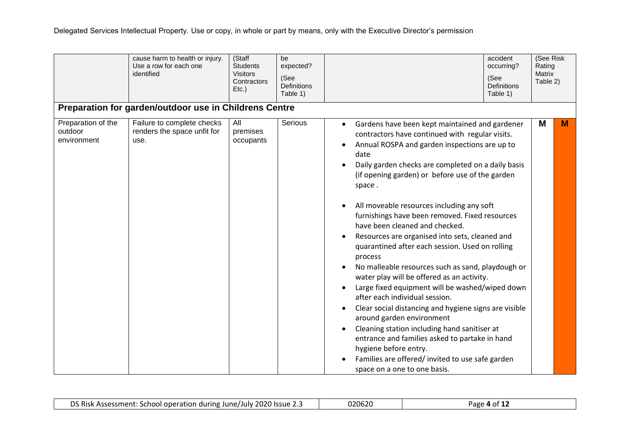|                                              | cause harm to health or injury.<br>Use a row for each one<br>identified | (Staff<br><b>Students</b><br><b>Visitors</b><br>Contractors<br>$Etc.$ ) | be<br>expected?<br>(See<br><b>Definitions</b><br>Table 1) | accident<br>occurring?<br>(See<br><b>Definitions</b><br>Table 1)                                                                                                                                                                                                                                                                                                                                                                                                                                                                                                                                                                                                                                                                                                                                                                                                                                                                                                                                                                                                                                                                        | (See Risk<br>Rating<br><b>Matrix</b><br>Table 2) |   |
|----------------------------------------------|-------------------------------------------------------------------------|-------------------------------------------------------------------------|-----------------------------------------------------------|-----------------------------------------------------------------------------------------------------------------------------------------------------------------------------------------------------------------------------------------------------------------------------------------------------------------------------------------------------------------------------------------------------------------------------------------------------------------------------------------------------------------------------------------------------------------------------------------------------------------------------------------------------------------------------------------------------------------------------------------------------------------------------------------------------------------------------------------------------------------------------------------------------------------------------------------------------------------------------------------------------------------------------------------------------------------------------------------------------------------------------------------|--------------------------------------------------|---|
|                                              | Preparation for garden/outdoor use in Childrens Centre                  |                                                                         |                                                           |                                                                                                                                                                                                                                                                                                                                                                                                                                                                                                                                                                                                                                                                                                                                                                                                                                                                                                                                                                                                                                                                                                                                         |                                                  |   |
| Preparation of the<br>outdoor<br>environment | Failure to complete checks<br>renders the space unfit for<br>use.       | All<br>premises<br>occupants                                            | Serious                                                   | Gardens have been kept maintained and gardener<br>$\bullet$<br>contractors have continued with regular visits.<br>Annual ROSPA and garden inspections are up to<br>$\bullet$<br>date<br>Daily garden checks are completed on a daily basis<br>(if opening garden) or before use of the garden<br>space.<br>All moveable resources including any soft<br>$\bullet$<br>furnishings have been removed. Fixed resources<br>have been cleaned and checked.<br>Resources are organised into sets, cleaned and<br>$\bullet$<br>quarantined after each session. Used on rolling<br>process<br>No malleable resources such as sand, playdough or<br>$\bullet$<br>water play will be offered as an activity.<br>Large fixed equipment will be washed/wiped down<br>$\bullet$<br>after each individual session.<br>Clear social distancing and hygiene signs are visible<br>$\bullet$<br>around garden environment<br>Cleaning station including hand sanitiser at<br>٠<br>entrance and families asked to partake in hand<br>hygiene before entry.<br>Families are offered/invited to use safe garden<br>$\bullet$<br>space on a one to one basis. | M                                                | M |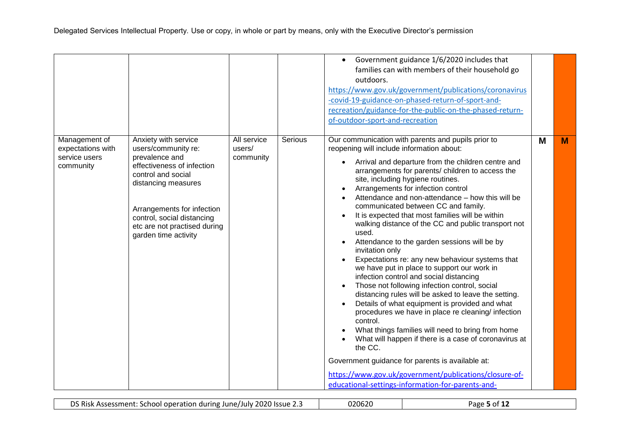|                                                                  |                                                                                                                                                                                                                                                              |                                    |         | Government guidance 1/6/2020 includes that<br>$\bullet$<br>families can with members of their household go<br>outdoors.<br>https://www.gov.uk/government/publications/coronavirus<br>-covid-19-guidance-on-phased-return-of-sport-and-<br>recreation/guidance-for-the-public-on-the-phased-return-<br>of-outdoor-sport-and-recreation                                                                                                                                                                                                                                                                                                                                                                                                                                                                                                                                                                                                                                                                                                                                                                                                                                                                                                                                                                         |   |   |
|------------------------------------------------------------------|--------------------------------------------------------------------------------------------------------------------------------------------------------------------------------------------------------------------------------------------------------------|------------------------------------|---------|---------------------------------------------------------------------------------------------------------------------------------------------------------------------------------------------------------------------------------------------------------------------------------------------------------------------------------------------------------------------------------------------------------------------------------------------------------------------------------------------------------------------------------------------------------------------------------------------------------------------------------------------------------------------------------------------------------------------------------------------------------------------------------------------------------------------------------------------------------------------------------------------------------------------------------------------------------------------------------------------------------------------------------------------------------------------------------------------------------------------------------------------------------------------------------------------------------------------------------------------------------------------------------------------------------------|---|---|
| Management of<br>expectations with<br>service users<br>community | Anxiety with service<br>users/community re:<br>prevalence and<br>effectiveness of infection<br>control and social<br>distancing measures<br>Arrangements for infection<br>control, social distancing<br>etc are not practised during<br>garden time activity | All service<br>users/<br>community | Serious | Our communication with parents and pupils prior to<br>reopening will include information about:<br>Arrival and departure from the children centre and<br>$\bullet$<br>arrangements for parents/ children to access the<br>site, including hygiene routines.<br>Arrangements for infection control<br>Attendance and non-attendance – how this will be<br>$\bullet$<br>communicated between CC and family.<br>It is expected that most families will be within<br>walking distance of the CC and public transport not<br>used.<br>Attendance to the garden sessions will be by<br>$\bullet$<br>invitation only<br>Expectations re: any new behaviour systems that<br>we have put in place to support our work in<br>infection control and social distancing<br>Those not following infection control, social<br>$\bullet$<br>distancing rules will be asked to leave the setting.<br>Details of what equipment is provided and what<br>$\bullet$<br>procedures we have in place re cleaning/ infection<br>control.<br>What things families will need to bring from home<br>What will happen if there is a case of coronavirus at<br>the CC.<br>Government guidance for parents is available at:<br>https://www.gov.uk/government/publications/closure-of-<br>educational-settings-information-for-parents-and- | M | M |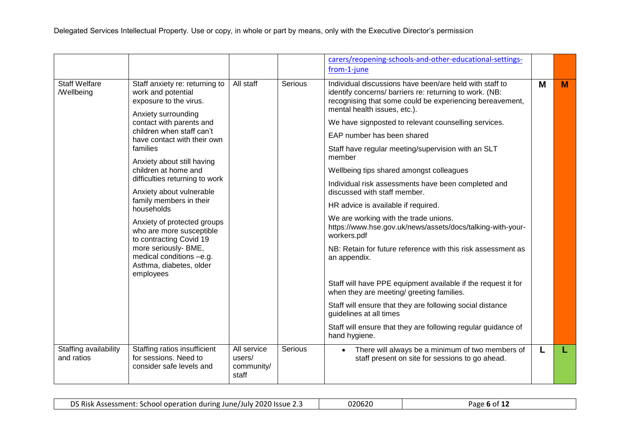|                                                 |                                                                                                       |                                              |                | carers/reopening-schools-and-other-educational-settings-<br>from-1-june                                                                                                                                        |   |   |
|-------------------------------------------------|-------------------------------------------------------------------------------------------------------|----------------------------------------------|----------------|----------------------------------------------------------------------------------------------------------------------------------------------------------------------------------------------------------------|---|---|
| <b>Staff Welfare</b><br><b><i>Mellbeing</i></b> | Staff anxiety re: returning to<br>work and potential<br>exposure to the virus.<br>Anxiety surrounding | All staff                                    | Serious        | Individual discussions have been/are held with staff to<br>identify concerns/ barriers re: returning to work. (NB:<br>recognising that some could be experiencing bereavement,<br>mental health issues, etc.). | М | M |
|                                                 | contact with parents and<br>children when staff can't                                                 |                                              |                | We have signposted to relevant counselling services.                                                                                                                                                           |   |   |
|                                                 | have contact with their own                                                                           |                                              |                | EAP number has been shared                                                                                                                                                                                     |   |   |
|                                                 | families                                                                                              |                                              |                | Staff have regular meeting/supervision with an SLT<br>member                                                                                                                                                   |   |   |
|                                                 | Anxiety about still having<br>children at home and                                                    |                                              |                | Wellbeing tips shared amongst colleagues                                                                                                                                                                       |   |   |
|                                                 | difficulties returning to work<br>Anxiety about vulnerable                                            |                                              |                | Individual risk assessments have been completed and<br>discussed with staff member.                                                                                                                            |   |   |
|                                                 | family members in their<br>households                                                                 |                                              |                | HR advice is available if required.                                                                                                                                                                            |   |   |
|                                                 | Anxiety of protected groups<br>who are more susceptible<br>to contracting Covid 19                    |                                              |                | We are working with the trade unions.<br>https://www.hse.gov.uk/news/assets/docs/talking-with-your-<br>workers.pdf                                                                                             |   |   |
|                                                 | more seriously- BME,<br>medical conditions -e.g.<br>Asthma, diabetes, older<br>employees              |                                              |                | NB: Retain for future reference with this risk assessment as<br>an appendix.                                                                                                                                   |   |   |
|                                                 |                                                                                                       |                                              |                | Staff will have PPE equipment available if the request it for<br>when they are meeting/ greeting families.                                                                                                     |   |   |
|                                                 |                                                                                                       |                                              |                | Staff will ensure that they are following social distance<br>guidelines at all times                                                                                                                           |   |   |
|                                                 |                                                                                                       |                                              |                | Staff will ensure that they are following regular guidance of<br>hand hygiene.                                                                                                                                 |   |   |
| Staffing availability<br>and ratios             | Staffing ratios insufficient<br>for sessions. Need to<br>consider safe levels and                     | All service<br>users/<br>community/<br>staff | <b>Serious</b> | There will always be a minimum of two members of<br>$\bullet$<br>staff present on site for sessions to go ahead.                                                                                               | L |   |

| nc.<br>2020<br>∵ring ⊥<br><b>Issue 2.5</b><br><b>1.1.1.1.</b><br>.uw<br>ne<br>10r<br>$\sim$ $\sim$ $\sim$<br>~~<br>.<br>. <u>.</u><br>. נות<br>$\sim$<br>,,,,<br>. | ገ20620 | - -<br>$\sim$<br>'dŁ<br>.<br>.<br>. . |
|--------------------------------------------------------------------------------------------------------------------------------------------------------------------|--------|---------------------------------------|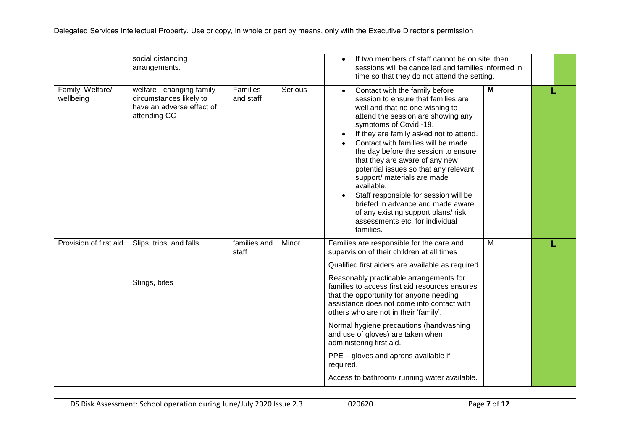|                              | social distancing<br>arrangements.                                                                |                       |         | If two members of staff cannot be on site, then<br>$\bullet$<br>sessions will be cancelled and families informed in<br>time so that they do not attend the setting.                                                                                                                                                                                                                                                                                                                                                                                                                                                      |                |  |
|------------------------------|---------------------------------------------------------------------------------------------------|-----------------------|---------|--------------------------------------------------------------------------------------------------------------------------------------------------------------------------------------------------------------------------------------------------------------------------------------------------------------------------------------------------------------------------------------------------------------------------------------------------------------------------------------------------------------------------------------------------------------------------------------------------------------------------|----------------|--|
| Family Welfare/<br>wellbeing | welfare - changing family<br>circumstances likely to<br>have an adverse effect of<br>attending CC | Families<br>and staff | Serious | Contact with the family before<br>$\bullet$<br>session to ensure that families are<br>well and that no one wishing to<br>attend the session are showing any<br>symptoms of Covid -19.<br>If they are family asked not to attend.<br>$\bullet$<br>Contact with families will be made<br>the day before the session to ensure<br>that they are aware of any new<br>potential issues so that any relevant<br>support/ materials are made<br>available.<br>Staff responsible for session will be<br>briefed in advance and made aware<br>of any existing support plans/ risk<br>assessments etc, for individual<br>families. | M              |  |
| Provision of first aid       | Slips, trips, and falls<br>Stings, bites                                                          | families and<br>staff | Minor   | Families are responsible for the care and<br>supervision of their children at all times<br>Qualified first aiders are available as required<br>Reasonably practicable arrangements for<br>families to access first aid resources ensures<br>that the opportunity for anyone needing<br>assistance does not come into contact with<br>others who are not in their 'family'.<br>Normal hygiene precautions (handwashing<br>and use of gloves) are taken when<br>administering first aid.<br>PPE - gloves and aprons available if<br>required.<br>Access to bathroom/ running water available.                              | $\overline{M}$ |  |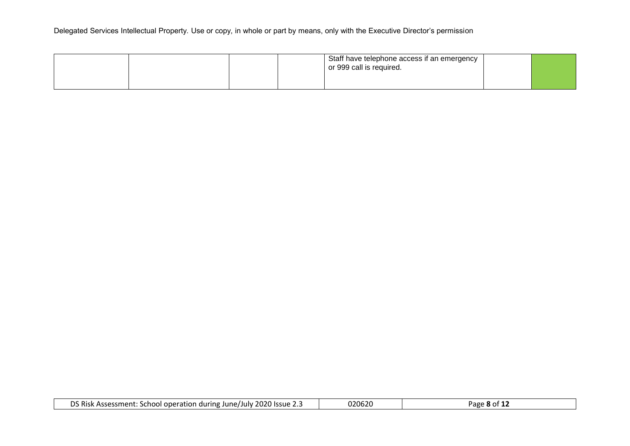|  |  | Staff have telephone access if an emergency<br>or 999 call is required. |  |
|--|--|-------------------------------------------------------------------------|--|
|  |  |                                                                         |  |

| DS Risk A<br>2020 Issue 2.3<br>: School operation during June/July $\tilde{z}$<br>Assessment: ۲۰ ه | 020620 | age<br>8 OT |
|----------------------------------------------------------------------------------------------------|--------|-------------|
|----------------------------------------------------------------------------------------------------|--------|-------------|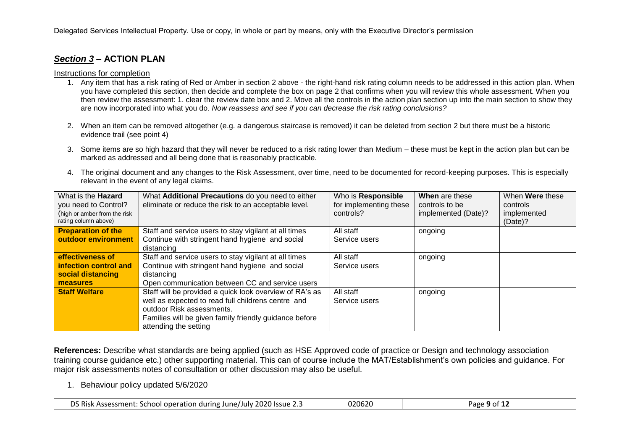# *Section 3* **– ACTION PLAN**

#### Instructions for completion

- 1. Any item that has a risk rating of Red or Amber in section 2 above the right-hand risk rating column needs to be addressed in this action plan. When you have completed this section, then decide and complete the box on page 2 that confirms when you will review this whole assessment. When you then review the assessment: 1. clear the review date box and 2. Move all the controls in the action plan section up into the main section to show they are now incorporated into what you do. *Now reassess and see if you can decrease the risk rating conclusions?*
- 2. When an item can be removed altogether (e.g. a dangerous staircase is removed) it can be deleted from section 2 but there must be a historic evidence trail (see point 4)
- 3. Some items are so high hazard that they will never be reduced to a risk rating lower than Medium these must be kept in the action plan but can be marked as addressed and all being done that is reasonably practicable.
- 4. The original document and any changes to the Risk Assessment, over time, need to be documented for record-keeping purposes. This is especially relevant in the event of any legal claims.

| What is the <b>Hazard</b>                            | What Additional Precautions do you need to either       | Who is Responsible     | When are these      | When <b>Were</b> these    |
|------------------------------------------------------|---------------------------------------------------------|------------------------|---------------------|---------------------------|
| you need to Control?                                 | eliminate or reduce the risk to an acceptable level.    | for implementing these | controls to be      | controls                  |
| (high or amber from the risk<br>rating column above) |                                                         | controls?              | implemented (Date)? | implemented<br>$(Date)$ ? |
| <b>Preparation of the</b>                            | Staff and service users to stay vigilant at all times   | All staff              | ongoing             |                           |
| outdoor environment                                  | Continue with stringent hand hygiene and social         | Service users          |                     |                           |
|                                                      | distancing                                              |                        |                     |                           |
| effectiveness of                                     | Staff and service users to stay vigilant at all times   | All staff              | ongoing             |                           |
| infection control and                                | Continue with stringent hand hygiene and social         | Service users          |                     |                           |
| social distancing                                    | distancing                                              |                        |                     |                           |
| measures                                             | Open communication between CC and service users         |                        |                     |                           |
| <b>Staff Welfare</b>                                 | Staff will be provided a quick look overview of RA's as | All staff              | ongoing             |                           |
|                                                      | well as expected to read full childrens centre and      | Service users          |                     |                           |
|                                                      | outdoor Risk assessments.                               |                        |                     |                           |
|                                                      | Families will be given family friendly guidance before  |                        |                     |                           |
|                                                      | attending the setting                                   |                        |                     |                           |

**References:** Describe what standards are being applied (such as HSE Approved code of practice or Design and technology association training course guidance etc.) other supporting material. This can of course include the MAT/Establishment's own policies and guidance. For major risk assessments notes of consultation or other discussion may also be useful.

1. Behaviour policy updated 5/6/2020

| DS Risk Assessment: School operation during June/July 2020 Issue 2.5 | 020620 | Page <b>9</b> of 12 |
|----------------------------------------------------------------------|--------|---------------------|
|----------------------------------------------------------------------|--------|---------------------|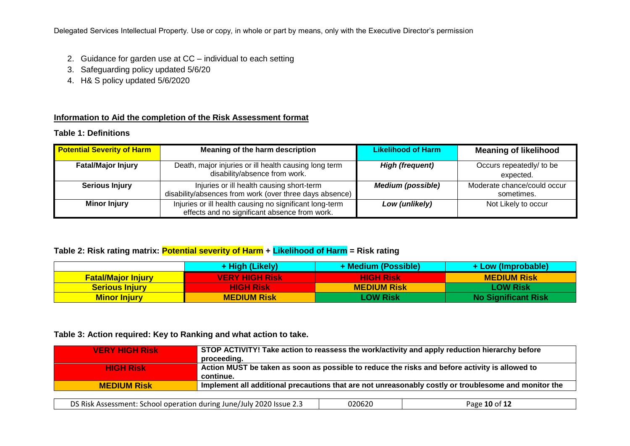Delegated Services Intellectual Property. Use or copy, in whole or part by means, only with the Executive Director's permission

- 2. Guidance for garden use at CC individual to each setting
- 3. Safeguarding policy updated 5/6/20
- 4. H& S policy updated 5/6/2020

### **Information to Aid the completion of the Risk Assessment format**

| <b>Table 1: Definitions</b> |  |
|-----------------------------|--|
|-----------------------------|--|

| <b>Potential Severity of Harm</b> | Meaning of the harm description                                                                          | <b>Likelihood of Harm</b> | <b>Meaning of likelihood</b>              |
|-----------------------------------|----------------------------------------------------------------------------------------------------------|---------------------------|-------------------------------------------|
| <b>Fatal/Major Injury</b>         | Death, major injuries or ill health causing long term<br>disability/absence from work.                   | <b>High (frequent)</b>    | Occurs repeatedly/ to be<br>expected.     |
| <b>Serious Injury</b>             | Injuries or ill health causing short-term<br>disability/absences from work (over three days absence)     | <b>Medium (possible)</b>  | Moderate chance/could occur<br>sometimes. |
| <b>Minor Injury</b>               | Injuries or ill health causing no significant long-term<br>effects and no significant absence from work. | Low (unlikely)            | Not Likely to occur                       |

#### **Table 2: Risk rating matrix: Potential severity of Harm + Likelihood of Harm = Risk rating**

|                           | + High (Likely)       | + Medium (Possible) | + Low (Improbable)         |
|---------------------------|-----------------------|---------------------|----------------------------|
| <b>Fatal/Major Injury</b> | <b>VERY HIGH Risk</b> | /HIGH Risk          | <b>MEDIUM Risk</b>         |
| <b>Serious Injury</b>     | <b>HIGH Risk</b>      | <b>MEDIUM Risk</b>  | <b>LOW Risk</b>            |
| <b>Minor Injury</b>       | <b>MEDIUM Risk</b>    | <b>LOW Risk</b>     | <b>No Significant Risk</b> |

#### **Table 3: Action required: Key to Ranking and what action to take.**

| <b>VERY HIGH Risk</b> | STOP ACTIVITY! Take action to reassess the work/activity and apply reduction hierarchy before<br>proceeding. |
|-----------------------|--------------------------------------------------------------------------------------------------------------|
| <b>HIGH Risk</b>      | Action MUST be taken as soon as possible to reduce the risks and before activity is allowed to<br>continue.  |
| <b>MEDIUM Risk</b>    | Implement all additional precautions that are not unreasonably costly or troublesome and monitor the         |
|                       |                                                                                                              |

| <b>DS Risk.</b><br>ant: School operation during June/July 2020 Issue 2.<br>Assessment: | 020620 | - $\epsilon$ 10 of 1 $\degree$<br>age<br>-44 |
|----------------------------------------------------------------------------------------|--------|----------------------------------------------|
|----------------------------------------------------------------------------------------|--------|----------------------------------------------|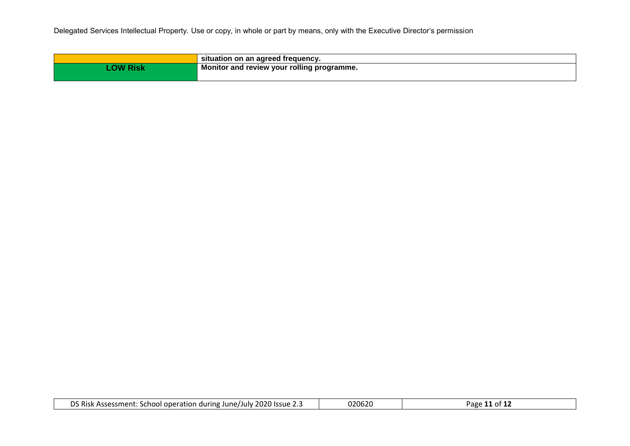| situation on an agreed frequency.          |
|--------------------------------------------|
| Monitor and review your rolling programme. |
|                                            |

| 2020 Issue<br>- -<br>DS Risk<br>: School operation during June/July $\widetilde{a}$<br>Assessment:<br>. | 020620 | Page |
|---------------------------------------------------------------------------------------------------------|--------|------|
|---------------------------------------------------------------------------------------------------------|--------|------|